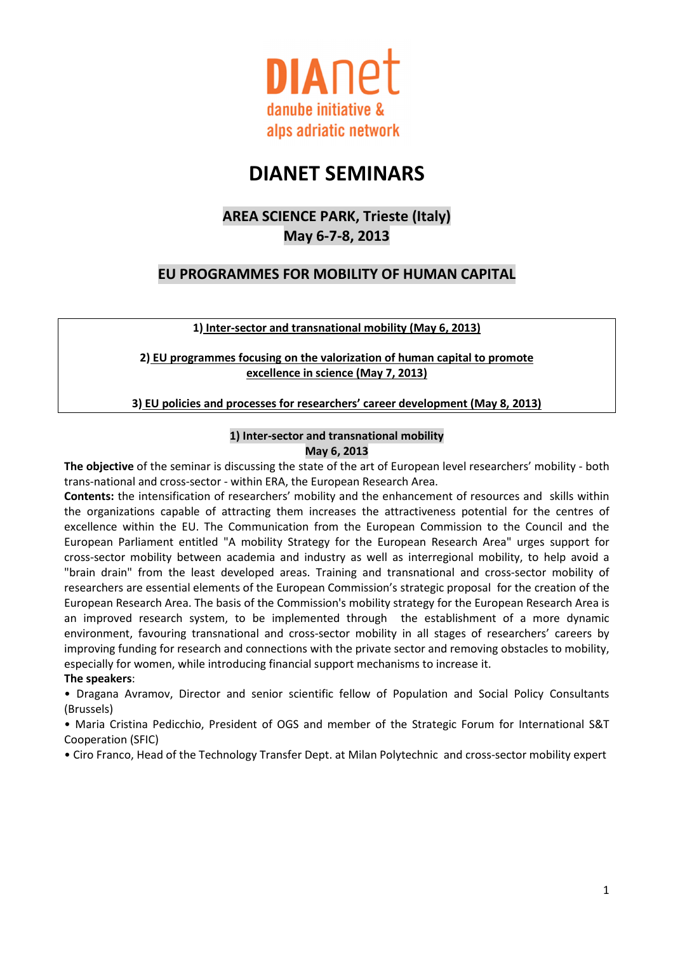

# DIANET SEMINARS

## AREA SCIENCE PARK, Trieste (Italy) May 6-7-8, 2013

### EU PROGRAMMES FOR MOBILITY OF HUMAN CAPITAL

1) Inter-sector and transnational mobility (May 6, 2013)

2) EU programmes focusing on the valorization of human capital to promote excellence in science (May 7, 2013)

3) EU policies and processes for researchers' career development (May 8, 2013)

#### 1) Inter-sector and transnational mobility May 6, 2013

The objective of the seminar is discussing the state of the art of European level researchers' mobility - both trans-national and cross-sector - within ERA, the European Research Area.

Contents: the intensification of researchers' mobility and the enhancement of resources and skills within the organizations capable of attracting them increases the attractiveness potential for the centres of excellence within the EU. The Communication from the European Commission to the Council and the European Parliament entitled "A mobility Strategy for the European Research Area" urges support for cross-sector mobility between academia and industry as well as interregional mobility, to help avoid a "brain drain" from the least developed areas. Training and transnational and cross-sector mobility of researchers are essential elements of the European Commission's strategic proposal for the creation of the European Research Area. The basis of the Commission's mobility strategy for the European Research Area is an improved research system, to be implemented through the establishment of a more dynamic environment, favouring transnational and cross-sector mobility in all stages of researchers' careers by improving funding for research and connections with the private sector and removing obstacles to mobility, especially for women, while introducing financial support mechanisms to increase it.

#### The speakers:

• Dragana Avramov, Director and senior scientific fellow of Population and Social Policy Consultants (Brussels)

• Maria Cristina Pedicchio, President of OGS and member of the Strategic Forum for International S&T Cooperation (SFIC)

• Ciro Franco, Head of the Technology Transfer Dept. at Milan Polytechnic and cross-sector mobility expert